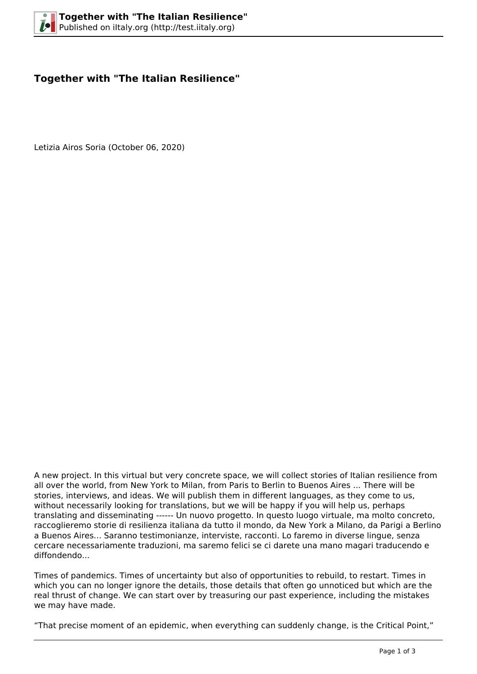## **Together with "The Italian Resilience"**

Letizia Airos Soria (October 06, 2020)



A new project. In this virtual but very concrete space, we will collect stories of Italian resilience from all over the world, from New York to Milan, from Paris to Berlin to Buenos Aires ... There will be stories, interviews, and ideas. We will publish them in different languages, as they come to us, without necessarily looking for translations, but we will be happy if you will help us, perhaps translating and disseminating ------ Un nuovo progetto. In questo luogo virtuale, ma molto concreto, raccoglieremo storie di resilienza italiana da tutto il mondo, da New York a Milano, da Parigi a Berlino a Buenos Aires... Saranno testimonianze, interviste, racconti. Lo faremo in diverse lingue, senza cercare necessariamente traduzioni, ma saremo felici se ci darete una mano magari traducendo e diffondendo...

Times of pandemics. Times of uncertainty but also of opportunities to rebuild, to restart. Times in which you can no longer ignore the details, those details that often go unnoticed but which are the real thrust of change. We can start over by treasuring our past experience, including the mistakes we may have made.

"That precise moment of an epidemic, when everything can suddenly change, is the Critical Point,"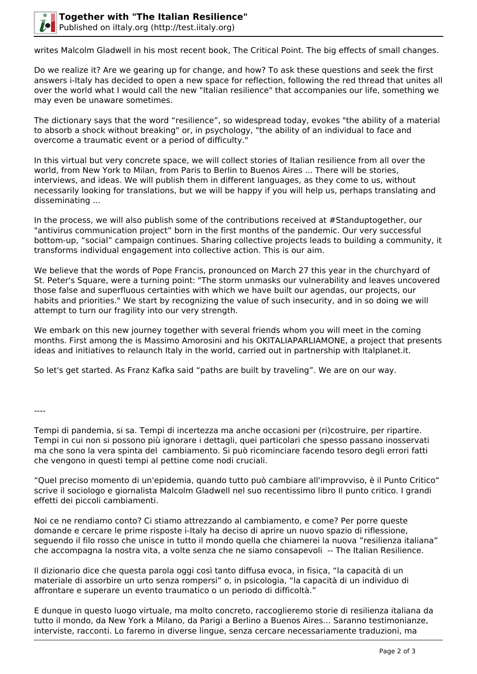

writes Malcolm Gladwell in his most recent book, The Critical Point. The big effects of small changes.

Do we realize it? Are we gearing up for change, and how? To ask these questions and seek the first answers i-Italy has decided to open a new space for reflection, following the red thread that unites all over the world what I would call the new "Italian resilience" that accompanies our life, something we may even be unaware sometimes.

The dictionary says that the word "resilience", so widespread today, evokes "the ability of a material to absorb a shock without breaking" or, in psychology, "the ability of an individual to face and overcome a traumatic event or a period of difficulty."

In this virtual but very concrete space, we will collect stories of Italian resilience from all over the world, from New York to Milan, from Paris to Berlin to Buenos Aires ... There will be stories, interviews, and ideas. We will publish them in different languages, as they come to us, without necessarily looking for translations, but we will be happy if you will help us, perhaps translating and disseminating ...

In the process, we will also publish some of the contributions received at #Standuptogether, our "antivirus communication project" born in the first months of the pandemic. Our very successful bottom-up, "social" campaign continues. Sharing collective projects leads to building a community, it transforms individual engagement into collective action. This is our aim.

We believe that the words of Pope Francis, pronounced on March 27 this year in the churchyard of St. Peter's Square, were a turning point: "The storm unmasks our vulnerability and leaves uncovered those false and superfluous certainties with which we have built our agendas, our projects, our habits and priorities." We start by recognizing the value of such insecurity, and in so doing we will attempt to turn our fragility into our very strength.

We embark on this new journey together with several friends whom you will meet in the coming months. First among the is Massimo Amorosini and his OKITALIAPARLIAMONE, a project that presents ideas and initiatives to relaunch Italy in the world, carried out in partnership with Italplanet.it.

So let's get started. As Franz Kafka said "paths are built by traveling". We are on our way.

----

Tempi di pandemia, si sa. Tempi di incertezza ma anche occasioni per (ri)costruire, per ripartire. Tempi in cui non si possono più ignorare i dettagli, quei particolari che spesso passano inosservati ma che sono la vera spinta del cambiamento. Si può ricominciare facendo tesoro degli errori fatti che vengono in questi tempi al pettine come nodi cruciali.

"Quel preciso momento di un'epidemia, quando tutto può cambiare all'improvviso, è il Punto Critico" scrive il sociologo e giornalista Malcolm Gladwell nel suo recentissimo libro Il punto critico. I grandi effetti dei piccoli cambiamenti.

Noi ce ne rendiamo conto? Ci stiamo attrezzando al cambiamento, e come? Per porre queste domande e cercare le prime risposte i-Italy ha deciso di aprire un nuovo spazio di riflessione, seguendo il filo rosso che unisce in tutto il mondo quella che chiamerei la nuova "resilienza italiana" che accompagna la nostra vita, a volte senza che ne siamo consapevoli -- The Italian Resilience.

Il dizionario dice che questa parola oggi così tanto diffusa evoca, in fisica, "la capacità di un materiale di assorbire un urto senza rompersi" o, in psicologia, "la capacità di un individuo di affrontare e superare un evento traumatico o un periodo di difficoltà."

E dunque in questo luogo virtuale, ma molto concreto, raccoglieremo storie di resilienza italiana da tutto il mondo, da New York a Milano, da Parigi a Berlino a Buenos Aires... Saranno testimonianze, interviste, racconti. Lo faremo in diverse lingue, senza cercare necessariamente traduzioni, ma